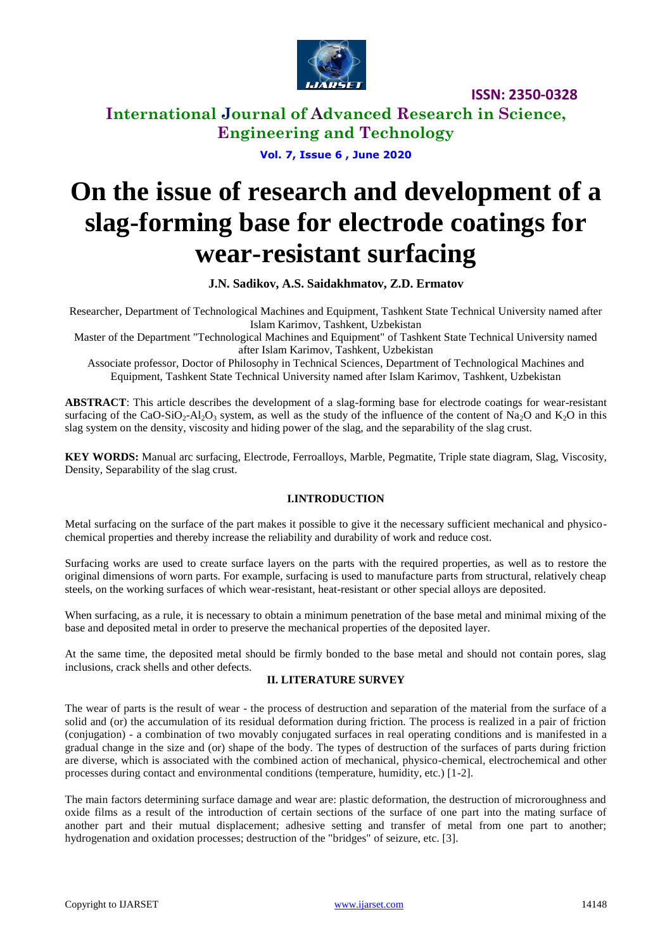

**ISSN: 2350-0328**

**International Journal of Advanced Research in Science, Engineering and Technology**

**Vol. 7, Issue 6 , June 2020**

# **On the issue of research and development of a slag-forming base for electrode coatings for wear-resistant surfacing**

**J.N. Sadikov, A.S. Saidakhmatov, Z.D. Ermatov**

Researcher, Department of Technological Machines and Equipment, Tashkent State Technical University named after Islam Karimov, Tashkent, Uzbekistan

Master of the Department "Technological Machines and Equipment" of Tashkent State Technical University named after Islam Karimov, Tashkent, Uzbekistan

Associate professor, Doctor of Philosophy in Technical Sciences, Department of Technological Machines and Equipment, Tashkent State Technical University named after Islam Karimov, Tashkent, Uzbekistan

**ABSTRACT**: This article describes the development of a slag-forming base for electrode coatings for wear-resistant surfacing of the CaO-SiO<sub>2</sub>-Al<sub>2</sub>O<sub>3</sub> system, as well as the study of the influence of the content of Na<sub>2</sub>O and K<sub>2</sub>O in this slag system on the density, viscosity and hiding power of the slag, and the separability of the slag crust.

**KEY WORDS:** Manual arc surfacing, Electrode, Ferroalloys, Marble, Pegmatite, Triple state diagram, Slag, Viscosity, Density, Separability of the slag crust.

#### **I.INTRODUCTION**

Metal surfacing on the surface of the part makes it possible to give it the necessary sufficient mechanical and physicochemical properties and thereby increase the reliability and durability of work and reduce cost.

Surfacing works are used to create surface layers on the parts with the required properties, as well as to restore the original dimensions of worn parts. For example, surfacing is used to manufacture parts from structural, relatively cheap steels, on the working surfaces of which wear-resistant, heat-resistant or other special alloys are deposited.

When surfacing, as a rule, it is necessary to obtain a minimum penetration of the base metal and minimal mixing of the base and deposited metal in order to preserve the mechanical properties of the deposited layer.

At the same time, the deposited metal should be firmly bonded to the base metal and should not contain pores, slag inclusions, crack shells and other defects.

#### **II. LITERATURE SURVEY**

The wear of parts is the result of wear - the process of destruction and separation of the material from the surface of a solid and (or) the accumulation of its residual deformation during friction. The process is realized in a pair of friction (conjugation) - a combination of two movably conjugated surfaces in real operating conditions and is manifested in a gradual change in the size and (or) shape of the body. The types of destruction of the surfaces of parts during friction are diverse, which is associated with the combined action of mechanical, physico-chemical, electrochemical and other processes during contact and environmental conditions (temperature, humidity, etc.) [1-2].

The main factors determining surface damage and wear are: plastic deformation, the destruction of microroughness and oxide films as a result of the introduction of certain sections of the surface of one part into the mating surface of another part and their mutual displacement; adhesive setting and transfer of metal from one part to another; hydrogenation and oxidation processes; destruction of the "bridges" of seizure, etc. [3].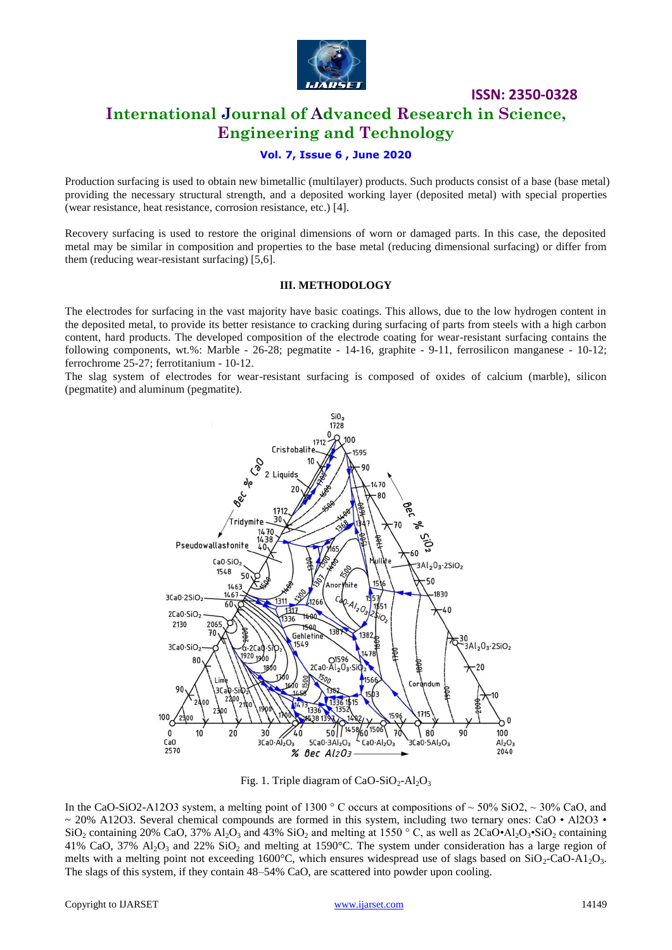

**ISSN: 2350-0328**

## **International Journal of Advanced Research in Science, Engineering and Technology**

#### **Vol. 7, Issue 6 , June 2020**

Production surfacing is used to obtain new bimetallic (multilayer) products. Such products consist of a base (base metal) providing the necessary structural strength, and a deposited working layer (deposited metal) with special properties (wear resistance, heat resistance, corrosion resistance, etc.) [4].

Recovery surfacing is used to restore the original dimensions of worn or damaged parts. In this case, the deposited metal may be similar in composition and properties to the base metal (reducing dimensional surfacing) or differ from them (reducing wear-resistant surfacing) [5,6].

#### **III. METHODOLOGY**

The electrodes for surfacing in the vast majority have basic coatings. This allows, due to the low hydrogen content in the deposited metal, to provide its better resistance to cracking during surfacing of parts from steels with a high carbon content, hard products. The developed composition of the electrode coating for wear-resistant surfacing contains the following components, wt.%: Marble -  $26-28$ ; pegmatite -  $14-16$ , graphite -  $9-11$ , ferrosilicon manganese -  $10-12$ ; ferrochrome 25-27; ferrotitanium - 10-12.

The slag system of electrodes for wear-resistant surfacing is composed of oxides of calcium (marble), silicon (pegmatite) and aluminum (pegmatite).



Fig. 1. Triple diagram of CaO-SiO<sub>2</sub>-Al<sub>2</sub>O<sub>3</sub>

In the CaO-SiO2-A12O3 system, a melting point of 1300  $\degree$  C occurs at compositions of  $\sim$  50% SiO2,  $\sim$  30% CaO, and  $\sim$  20% A12O3. Several chemical compounds are formed in this system, including two ternary ones: CaO • Al2O3 •  $\text{SiO}_2$  containing 20% CaO, 37% Al<sub>2</sub>O<sub>3</sub> and 43% SiO<sub>2</sub> and melting at 1550 ° C, as well as 2CaO•Al<sub>2</sub>O<sub>3</sub>•SiO<sub>2</sub> containing 41% CaO, 37%  $\text{Al}_2\text{O}_3$  and 22% SiO<sub>2</sub> and melting at 1590°C. The system under consideration has a large region of melts with a melting point not exceeding 1600°C, which ensures widespread use of slags based on  $SiO_2$ -CaO-A1<sub>2</sub>O<sub>3</sub>. The slags of this system, if they contain 48–54% CaO, are scattered into powder upon cooling.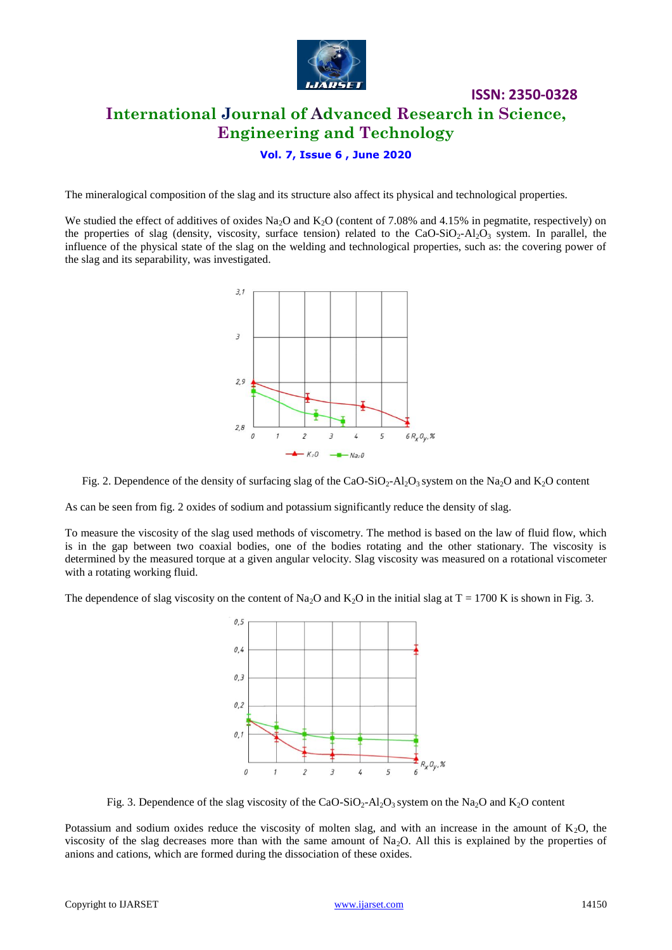

# **ISSN: 2350-0328 International Journal of Advanced Research in Science, Engineering and Technology**

## **Vol. 7, Issue 6 , June 2020**

The mineralogical composition of the slag and its structure also affect its physical and technological properties.

We studied the effect of additives of oxides Na<sub>2</sub>O and K<sub>2</sub>O (content of 7.08% and 4.15% in pegmatite, respectively) on the properties of slag (density, viscosity, surface tension) related to the CaO-SiO<sub>2</sub>-Al<sub>2</sub>O<sub>3</sub> system. In parallel, the influence of the physical state of the slag on the welding and technological properties, such as: the covering power of the slag and its separability, was investigated.



Fig. 2. Dependence of the density of surfacing slag of the CaO-SiO<sub>2</sub>-Al<sub>2</sub>O<sub>3</sub> system on the Na<sub>2</sub>O and K<sub>2</sub>O content

As can be seen from fig. 2 oxides of sodium and potassium significantly reduce the density of slag.

To measure the viscosity of the slag used methods of viscometry. The method is based on the law of fluid flow, which is in the gap between two coaxial bodies, one of the bodies rotating and the other stationary. The viscosity is determined by the measured torque at a given angular velocity. Slag viscosity was measured on a rotational viscometer with a rotating working fluid.

The dependence of slag viscosity on the content of Na<sub>2</sub>O and K<sub>2</sub>O in the initial slag at  $T = 1700$  K is shown in Fig. 3.



Fig. 3. Dependence of the slag viscosity of the CaO-SiO<sub>2</sub>-Al<sub>2</sub>O<sub>3</sub> system on the Na<sub>2</sub>O and K<sub>2</sub>O content

Potassium and sodium oxides reduce the viscosity of molten slag, and with an increase in the amount of  $K_2O$ , the viscosity of the slag decreases more than with the same amount of  $Na<sub>2</sub>O$ . All this is explained by the properties of anions and cations, which are formed during the dissociation of these oxides.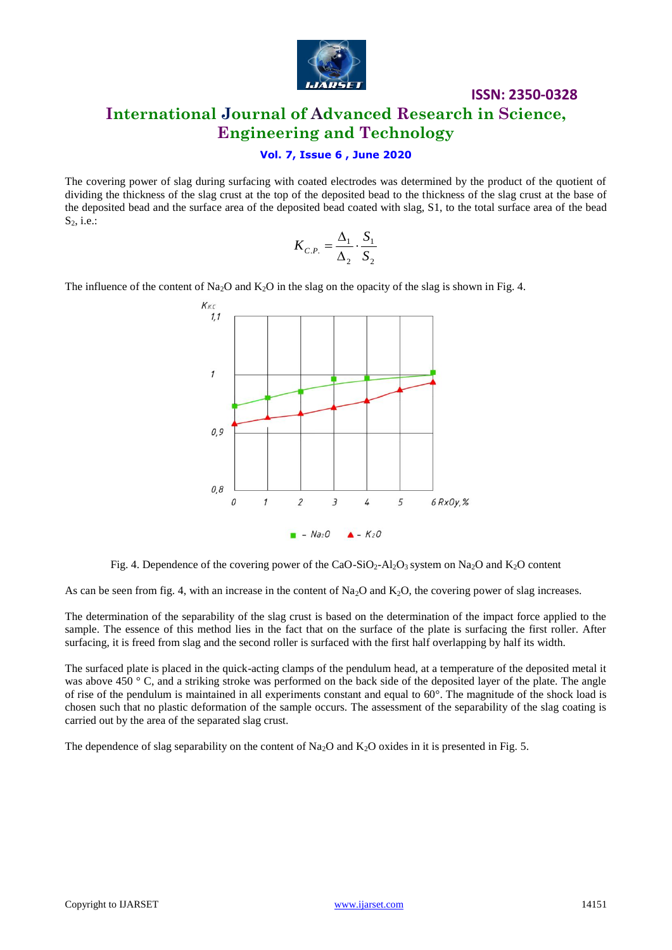

# **ISSN: 2350-0328 International Journal of Advanced Research in Science, Engineering and Technology**

#### **Vol. 7, Issue 6 , June 2020**

The covering power of slag during surfacing with coated electrodes was determined by the product of the quotient of dividing the thickness of the slag crust at the top of the deposited bead to the thickness of the slag crust at the base of the deposited bead and the surface area of the deposited bead coated with slag, S1, to the total surface area of the bead  $S_2$ , i.e.:

$$
K_{C.P.} = \frac{\Delta_1}{\Delta_2} \cdot \frac{S_1}{S_2}
$$

The influence of the content of Na<sub>2</sub>O and K<sub>2</sub>O in the slag on the opacity of the slag is shown in Fig. 4.



Fig. 4. Dependence of the covering power of the CaO-SiO<sub>2</sub>-Al<sub>2</sub>O<sub>3</sub> system on Na<sub>2</sub>O and K<sub>2</sub>O content

As can be seen from fig. 4, with an increase in the content of Na<sub>2</sub>O and K<sub>2</sub>O, the covering power of slag increases.

The determination of the separability of the slag crust is based on the determination of the impact force applied to the sample. The essence of this method lies in the fact that on the surface of the plate is surfacing the first roller. After surfacing, it is freed from slag and the second roller is surfaced with the first half overlapping by half its width.

The surfaced plate is placed in the quick-acting clamps of the pendulum head, at a temperature of the deposited metal it was above 450 ° C, and a striking stroke was performed on the back side of the deposited layer of the plate. The angle of rise of the pendulum is maintained in all experiments constant and equal to 60°. The magnitude of the shock load is chosen such that no plastic deformation of the sample occurs. The assessment of the separability of the slag coating is carried out by the area of the separated slag crust.

The dependence of slag separability on the content of  $Na<sub>2</sub>O$  and  $K<sub>2</sub>O$  oxides in it is presented in Fig. 5.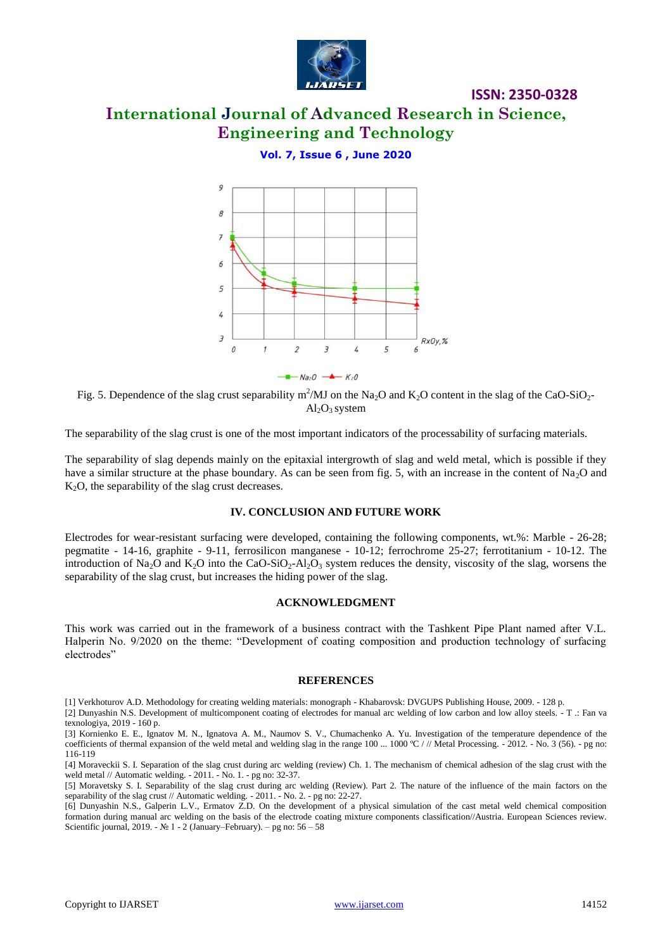

# **International Journal of Advanced Research in Science, Engineering and Technology**

**ISSN: 2350-0328**

## **Vol. 7, Issue 6 , June 2020**



Fig. 5. Dependence of the slag crust separability m<sup>2</sup>/MJ on the Na<sub>2</sub>O and K<sub>2</sub>O content in the slag of the CaO-SiO<sub>2</sub>- $Al_2O_3$  system

The separability of the slag crust is one of the most important indicators of the processability of surfacing materials.

The separability of slag depends mainly on the epitaxial intergrowth of slag and weld metal, which is possible if they have a similar structure at the phase boundary. As can be seen from fig. 5, with an increase in the content of Na<sub>2</sub>O and  $K<sub>2</sub>O$ , the separability of the slag crust decreases.

#### **IV. CONCLUSION AND FUTURE WORK**

Electrodes for wear-resistant surfacing were developed, containing the following components, wt.%: Marble - 26-28; pegmatite - 14-16, graphite - 9-11, ferrosilicon manganese - 10-12; ferrochrome 25-27; ferrotitanium - 10-12. The introduction of Na<sub>2</sub>O and K<sub>2</sub>O into the CaO-SiO<sub>2</sub>-Al<sub>2</sub>O<sub>3</sub> system reduces the density, viscosity of the slag, worsens the separability of the slag crust, but increases the hiding power of the slag.

#### **ACKNOWLEDGMENT**

This work was carried out in the framework of a business contract with the Tashkent Pipe Plant named after V.L. Halperin No. 9/2020 on the theme: "Development of coating composition and production technology of surfacing electrodes"

#### **REFERENCES**

[2] Dunyashin N.S. Development of multicomponent coating of electrodes for manual arc welding of low carbon and low alloy steels. - T .: Fan va texnologiya, 2019 - 160 p.

[4] Moraveckii S. I. Separation of the slag crust during arc welding (review) Ch. 1. The mechanism of chemical adhesion of the slag crust with the weld metal // Automatic welding. - 2011. - No. 1. - pg no: 32-37.

[6] Dunyashin N.S., Galperin L.V., Ermatov Z.D. On the development of a physical simulation of the cast metal weld chemical composition formation during manual arc welding on the basis of the electrode coating mixture components classification//Austria. European Sciences review. Scientific journal, 2019. - № 1 - 2 (January–February). – pg no:  $56-58$ 

<sup>[1]</sup> Verkhoturov A.D. Methodology for creating welding materials: monograph - Khabarovsk: DVGUPS Publishing House, 2009. - 128 p.

<sup>[3]</sup> Kornienko E. E., Ignatov M. N., Ignatova A. M., Naumov S. V., Chumachenko A. Yu. Investigation of the temperature dependence of the coefficients of thermal expansion of the weld metal and welding slag in the range  $100 \dots 1000 \,^{\circ}\text{C}$  / // Metal Processing. - 2012. - No. 3 (56). - pg no: 116-119

<sup>[5]</sup> Moravetsky S. I. Separability of the slag crust during arc welding (Review). Part 2. The nature of the influence of the main factors on the separability of the slag crust // Automatic welding. - 2011. - No. 2. - pg no: 22-27.